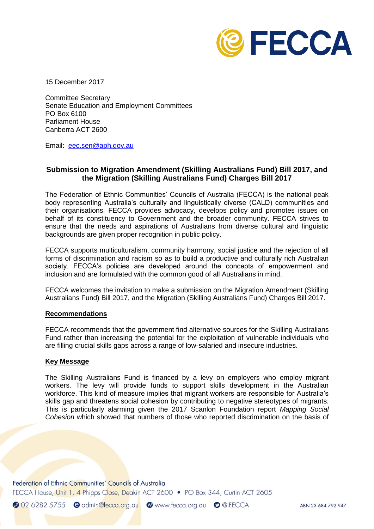

15 December 2017

Committee Secretary Senate Education and Employment Committees PO Box 6100 Parliament House Canberra ACT 2600

Email: [eec.sen@aph.gov.au](mailto:eec.sen@aph.gov.au)

## **Submission to Migration Amendment (Skilling Australians Fund) Bill 2017, and the Migration (Skilling Australians Fund) Charges Bill 2017**

The Federation of Ethnic Communities' Councils of Australia (FECCA) is the national peak body representing Australia's culturally and linguistically diverse (CALD) communities and their organisations. FECCA provides advocacy, develops policy and promotes issues on behalf of its constituency to Government and the broader community. FECCA strives to ensure that the needs and aspirations of Australians from diverse cultural and linguistic backgrounds are given proper recognition in public policy.

FECCA supports multiculturalism, community harmony, social justice and the rejection of all forms of discrimination and racism so as to build a productive and culturally rich Australian society. FECCA's policies are developed around the concepts of empowerment and inclusion and are formulated with the common good of all Australians in mind.

FECCA welcomes the invitation to make a submission on the Migration Amendment (Skilling Australians Fund) Bill 2017, and the Migration (Skilling Australians Fund) Charges Bill 2017.

## **Recommendations**

FECCA recommends that the government find alternative sources for the Skilling Australians Fund rather than increasing the potential for the exploitation of vulnerable individuals who are filling crucial skills gaps across a range of low-salaried and insecure industries.

## **Key Message**

The Skilling Australians Fund is financed by a levy on employers who employ migrant workers. The levy will provide funds to support skills development in the Australian workforce. This kind of measure implies that migrant workers are responsible for Australia's skills gap and threatens social cohesion by contributing to negative stereotypes of migrants. This is particularly alarming given the 2017 Scanlon Foundation report *Mapping Social Cohesion* which showed that numbers of those who reported discrimination on the basis of

Federation of Ethnic Communities' Councils of Australia

FECCA House, Unit 1, 4 Phipps Close, Deakin ACT 2600 • PO Box 344, Curtin ACT 2605

2 02 6282 5755 @ admin@fecca.org.au @ www.fecca.org.au @ @iFECCA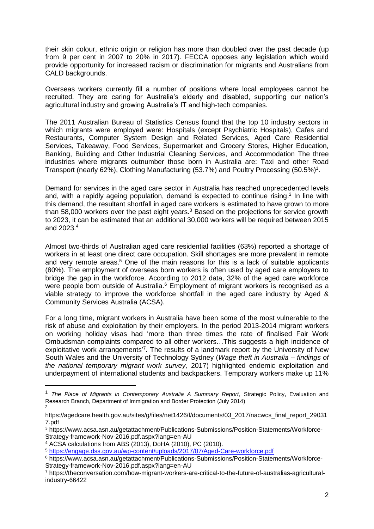their skin colour, ethnic origin or religion has more than doubled over the past decade (up from 9 per cent in 2007 to 20% in 2017). FECCA opposes any legislation which would provide opportunity for increased racism or discrimination for migrants and Australians from CALD backgrounds.

Overseas workers currently fill a number of positions where local employees cannot be recruited. They are caring for Australia's elderly and disabled, supporting our nation's agricultural industry and growing Australia's IT and high-tech companies.

The 2011 Australian Bureau of Statistics Census found that the top 10 industry sectors in which migrants were employed were: Hospitals (except Psychiatric Hospitals), Cafes and Restaurants, Computer System Design and Related Services, Aged Care Residential Services, Takeaway, Food Services, Supermarket and Grocery Stores, Higher Education, Banking, Building and Other Industrial Cleaning Services, and Accommodation The three industries where migrants outnumber those born in Australia are: Taxi and other Road Transport (nearly 62%), Clothing Manufacturing (53.7%) and Poultry Processing (50.5%)<sup>1</sup>.

Demand for services in the aged care sector in Australia has reached unprecedented levels and, with a rapidly ageing population, demand is expected to continue rising.<sup>2</sup> In line with this demand, the resultant shortfall in aged care workers is estimated to have grown to more than 58,000 workers over the past eight years.<sup>3</sup> Based on the projections for service growth to 2023, it can be estimated that an additional 30,000 workers will be required between 2015 and 2023.<sup>4</sup>

Almost two-thirds of Australian aged care residential facilities (63%) reported a shortage of workers in at least one direct care occupation. Skill shortages are more prevalent in remote and very remote areas.<sup>5</sup> One of the main reasons for this is a lack of suitable applicants (80%). The employment of overseas born workers is often used by aged care employers to bridge the gap in the workforce. According to 2012 data, 32% of the aged care workforce were people born outside of Australia.<sup>6</sup> Employment of migrant workers is recognised as a viable strategy to improve the workforce shortfall in the aged care industry by Aged & Community Services Australia (ACSA).

For a long time, migrant workers in Australia have been some of the most vulnerable to the risk of abuse and exploitation by their employers. In the period 2013-2014 migrant workers on working holiday visas had 'more than three times the rate of finalised Fair Work Ombudsman complaints compared to all other workers…This suggests a high incidence of exploitative work arrangements<sup>7</sup>. The results of a landmark report by the University of New South Wales and the University of Technology Sydney (*Wage theft in Australia – findings of the national temporary migrant work survey,* 2017) highlighted endemic exploitation and underpayment of international students and backpackers. Temporary workers make up 11%

-

<sup>1</sup> *The Place of Migrants in Contemporary Australia A Summary Report*, Strategic Policy, Evaluation and Research Branch, Department of Immigration and Border Protection (July 2014) 2

https://agedcare.health.gov.au/sites/g/files/net1426/f/documents/03\_2017/nacwcs\_final\_report\_29031 7.pdf

<sup>3</sup> https://www.acsa.asn.au/getattachment/Publications-Submissions/Position-Statements/Workforce-Strategy-framework-Nov-2016.pdf.aspx?lang=en-AU

<sup>4</sup> ACSA calculations from ABS (2013), DoHA (2010), PC (2010).

<sup>5</sup> <https://engage.dss.gov.au/wp-content/uploads/2017/07/Aged-Care-workforce.pdf>

<sup>6</sup> https://www.acsa.asn.au/getattachment/Publications-Submissions/Position-Statements/Workforce-Strategy-framework-Nov-2016.pdf.aspx?lang=en-AU

<sup>7</sup> https://theconversation.com/how-migrant-workers-are-critical-to-the-future-of-australias-agriculturalindustry-66422